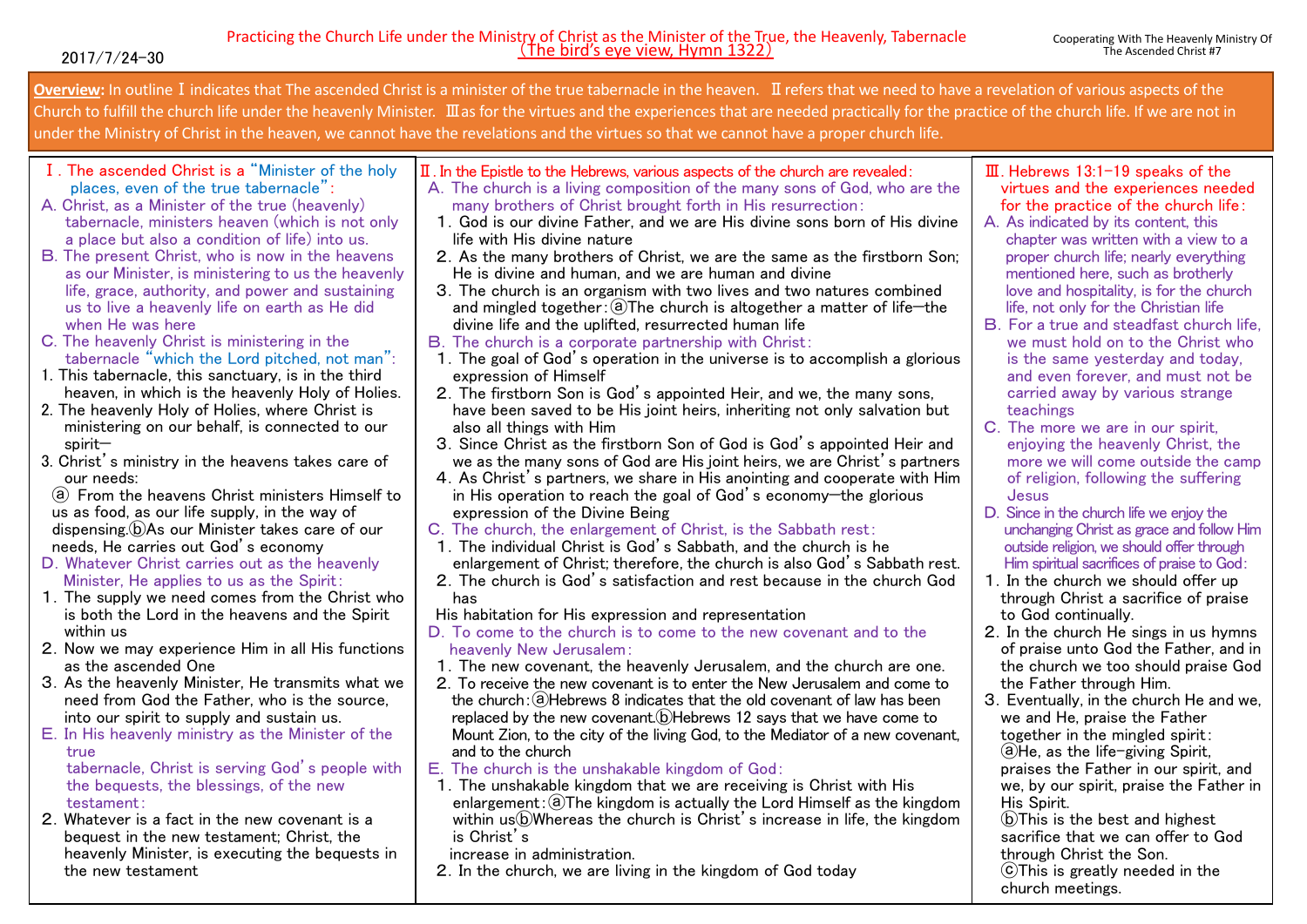**Overview:** In outlineⅠindicates that The ascended Christ is a minister of the true tabernacle in the heaven. Ⅱrefers that we need to have a revelation of various aspects of the Church to fulfill the church life under the heavenly Minister. Ⅲas for the virtues and the experiences that are needed practically for the practice of the church life. If we are not in under the Ministry of Christ in the heaven, we cannot have the revelations and the virtues so that we cannot have a proper church life.

- I. The ascended Christ is a "Minister of the holy places, even of the true tabernacle":
- A. Christ, as a Minister of the true (heavenly) tabernacle, ministers heaven (which is not only a place but also a condition of life) into us.
- B. The present Christ, who is now in the heavens as our Minister, is ministering to us the heavenly life, grace, authority, and power and sustaining us to live a heavenly life on earth as He did when He was here
- C. The heavenly Christ is ministering in the tabernacle "which the Lord pitched, not man":
- 1. This tabernacle, this sanctuary, is in the third heaven, in which is the heavenly Holy of Holies.
- 2. The heavenly Holy of Holies, where Christ is ministering on our behalf, is connected to our spirit—
- 3. Christ's ministry in the heavens takes care of our needs:

ⓐ From the heavens Christ ministers Himself to us as food, as our life supply, in the way of dispensing.ⓑAs our Minister takes care of our needs, He carries out God's economy

- D.Whatever Christ carries out as the heavenly Minister, He applies to us as the Spirit:
- 1.The supply we need comes from the Christ who is both the Lord in the heavens and the Spirit within us
- 2.Now we may experience Him in all His functions as the ascended One
- 3.As the heavenly Minister, He transmits what we need from God the Father, who is the source, into our spirit to supply and sustain us.
- E.In His heavenly ministry as the Minister of the true

tabernacle, Christ is serving God's people with the bequests, the blessings, of the new testament:

2.Whatever is a fact in the new covenant is a bequest in the new testament; Christ, the heavenly Minister, is executing the bequests in the new testament

- Describes about the Spirit interceding for us in our spirit. In order to go back to our spirit and to experience the Spirit's intercession, it is the important key to join between Christ's Ⅱ. In the Epistle to the Hebrews, various aspects of the church are revealed:
	- A.The church is a living composition of the many sons of God, who are the many brothers of Christ brought forth in His resurrection:
	- 1.God is our divine Father, and we are His divine sons born of His divine life with His divine nature
	- 2.As the many brothers of Christ, we are the same as the firstborn Son; He is divine and human, and we are human and divine
	- 3.The church is an organism with two lives and two natures combined and mingled together:  $(a)$ The church is altogether a matter of life—the divine life and the uplifted, resurrected human life
	- B.The church is a corporate partnership with Christ:
	- 1.The goal of God's operation in the universe is to accomplish a glorious expression of Himself
	- 2.The firstborn Son is God's appointed Heir, and we, the many sons, have been saved to be His joint heirs, inheriting not only salvation but also all things with Him
	- 3.Since Christ as the firstborn Son of God is God's appointed Heir and we as the many sons of God are His joint heirs, we are Christ's partners
	- 4.As Christ's partners, we share in His anointing and cooperate with Him in His operation to reach the goal of God's economy—the glorious expression of the Divine Being
	- C.The church, the enlargement of Christ, is the Sabbath rest:
	- 1.The individual Christ is God's Sabbath, and the church is he enlargement of Christ; therefore, the church is also God's Sabbath rest.
	- 2.The church is God's satisfaction and rest because in the church God has
	- His habitation for His expression and representation
	- D.To come to the church is to come to the new covenant and to the heavenly New Jerusalem:
	- 1.The new covenant, the heavenly Jerusalem, and the church are one.
	- 2.To receive the new covenant is to enter the New Jerusalem and come to the church: $\Omega$ Hebrews 8 indicates that the old covenant of law has been replaced by the new covenant.(b) Hebrews 12 says that we have come to Mount Zion, to the city of the living God, to the Mediator of a new covenant, and to the church
	- E.The church is the unshakable kingdom of God:
	- 1.The unshakable kingdom that we are receiving is Christ with His enlargement:  $\widehat{a}$ ) The kingdom is actually the Lord Himself as the kingdom within us (b) Whereas the church is Christ's increase in life, the kingdom is Christ's

increase in administration.

2.In the church, we are living in the kingdom of God today

- Ⅲ. Hebrews 13:1-19 speaks of the virtues and the experiences needed for the practice of the church life:
- A.As indicated by its content, this chapter was written with a view to a proper church life; nearly everything mentioned here, such as brotherly love and hospitality, is for the church life, not only for the Christian life
- B.For a true and steadfast church life, we must hold on to the Christ who is the same yesterday and today, and even forever, and must not be carried away by various strange teachings
- C. The more we are in our spirit. enjoying the heavenly Christ, the more we will come outside the camp of religion, following the suffering Jesus
- D. Since in the church life we enjoy the unchanging Christ as grace and follow Him outside religion, we should offer through Him spiritual sacrifices of praise to God:
- 1.In the church we should offer up through Christ a sacrifice of praise to God continually.
- 2.In the church He sings in us hymns of praise unto God the Father, and in the church we too should praise God the Father through Him.
- 3.Eventually, in the church He and we, we and He, praise the Father together in the mingled spirit: ⓐHe, as the life-giving Spirit, praises the Father in our spirit, and we, by our spirit, praise the Father in His Spirit.

ⓑThis is the best and highest sacrifice that we can offer to God through Christ the Son.

ⓒThis is greatly needed in the church meetings.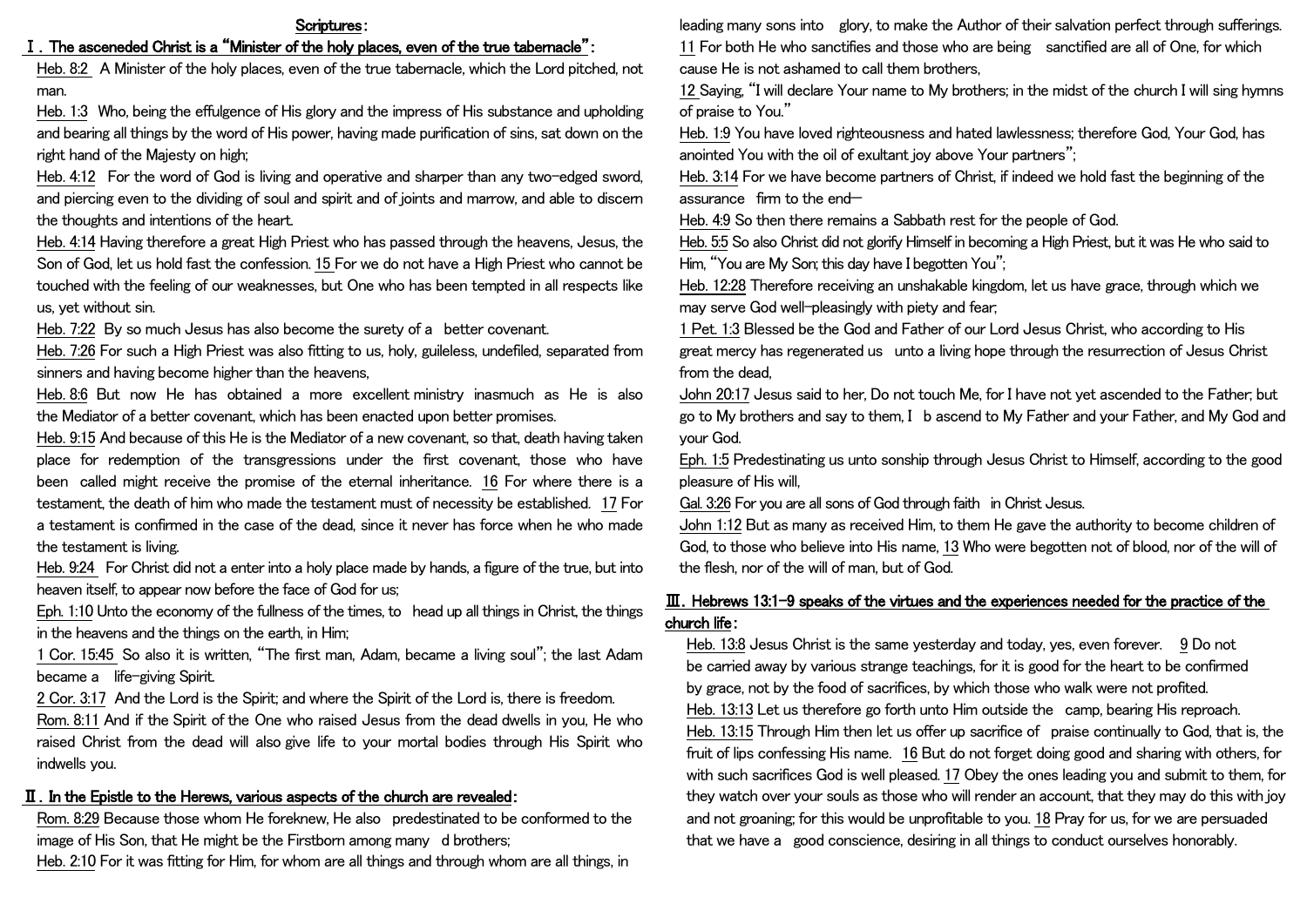#### Scriptures:

## I. The asceneded Christ is a "Minister of the holy places, even of the true tabernacle":

Heb. 8:2 A Minister of the holy places, even of the true tabernacle, which the Lord pitched, not man.

Heb. 1:3 Who, being the effulgence of His glory and the impress of His substance and upholding and bearing all things by the word of His power, having made purification of sins, sat down on the right hand of the Majesty on high;

Heb. 4:12 For the word of God is living and operative and sharper than any two-edged sword, and piercing even to the dividing of soul and spirit and of joints and marrow, and able to discern the thoughts and intentions of the heart.

Heb. 4:14 Having therefore a great High Priest who has passed through the heavens, Jesus, the Son of God, let us hold fast the confession. 15 For we do not have a High Priest who cannot be touched with the feeling of our weaknesses, but One who has been tempted in all respects like us, yet without sin.

Heb. 7:22 By so much Jesus has also become the surety of a better covenant.

Heb. 7:26 For such a High Priest was also fitting to us, holy, guileless, undefiled, separated from sinners and having become higher than the heavens,

Heb. 8:6 But now He has obtained a more excellent ministry inasmuch as He is also the Mediator of a better covenant, which has been enacted upon better promises.

Heb. 9:15 And because of this He is the Mediator of a new covenant, so that, death having taken place for redemption of the transgressions under the first covenant, those who have been called might receive the promise of the eternal inheritance. 16 For where there is a testament, the death of him who made the testament must of necessity be established. 17 For a testament is confirmed in the case of the dead, since it never has force when he who made the testament is living.

Heb. 9:24 For Christ did not a enter into a holy place made by hands, a figure of the true, but into heaven itself, to appear now before the face of God for us;

Eph. 1:10 Unto the economy of the fullness of the times, to head up all things in Christ, the things in the heavens and the things on the earth, in Him;

1 Cor. 15:45 So also it is written, "The first man, Adam, became a living soul"; the last Adam became a life-giving Spirit.

2 Cor. 3:17 And the Lord is the Spirit; and where the Spirit of the Lord is, there is freedom.

Rom. 8:11 And if the Spirit of the One who raised Jesus from the dead dwells in you, He who raised Christ from the dead will also give life to your mortal bodies through His Spirit who indwells you.

## Ⅱ.In the Epistle to the Herews, various aspects of the church are revealed:

Rom. 8:29 Because those whom He foreknew, He also predestinated to be conformed to the image of His Son, that He might be the Firstborn among many d brothers;

Heb. 2:10 For it was fitting for Him, for whom are all things and through whom are all things, in

leading many sons into glory, to make the Author of their salvation perfect through sufferings. 11 For both He who sanctifies and those who are being sanctified are all of One, for which cause He is not ashamed to call them brothers,

12 Saying, "I will declare Your name to My brothers; in the midst of the church I will sing hymns of praise to You."

Heb. 1:9 You have loved righteousness and hated lawlessness; therefore God, Your God, has anointed You with the oil of exultant joy above Your partners":

Heb. 3:14 For we have become partners of Christ, if indeed we hold fast the beginning of the assurance firm to the end—

Heb. 4:9 So then there remains a Sabbath rest for the people of God.

Heb. 5:5 So also Christ did not glorify Himself in becoming a High Priest, but it was He who said to Him, "You are My Son; this day have I begotten You";

Heb. 12:28 Therefore receiving an unshakable kingdom, let us have grace, through which we may serve God well-pleasingly with piety and fear;

1 Pet. 1:3 Blessed be the God and Father of our Lord Jesus Christ, who according to His great mercy has regenerated us unto a living hope through the resurrection of Jesus Christ from the dead,

John 20:17 Jesus said to her, Do not touch Me, for I have not yet ascended to the Father; but go to My brothers and say to them, I b ascend to My Father and your Father, and My God and your God.

Eph. 1:5 Predestinating us unto sonship through Jesus Christ to Himself, according to the good pleasure of His will,

Gal. 3:26 For you are all sons of God through faith in Christ Jesus.

John 1:12 But as many as received Him, to them He gave the authority to become children of God, to those who believe into His name, 13 Who were begotten not of blood, nor of the will of the flesh, nor of the will of man, but of God.

# Ⅲ.Hebrews 13:1-9 speaks of the virtues and the experiences needed for the practice of the church life:

Heb. 13:8 Jesus Christ is the same yesterday and today, yes, even forever. 9 Do not be carried away by various strange teachings, for it is good for the heart to be confirmed by grace, not by the food of sacrifices, by which those who walk were not profited. Heb. 13:13 Let us therefore go forth unto Him outside the camp, bearing His reproach. Heb. 13:15 Through Him then let us offer up sacrifice of praise continually to God, that is, the fruit of lips confessing His name. 16 But do not forget doing good and sharing with others, for with such sacrifices God is well pleased. 17 Obey the ones leading you and submit to them, for they watch over your souls as those who will render an account, that they may do this with joy

and not groaning; for this would be unprofitable to you. 18 Pray for us, for we are persuaded that we have a good conscience, desiring in all things to conduct ourselves honorably.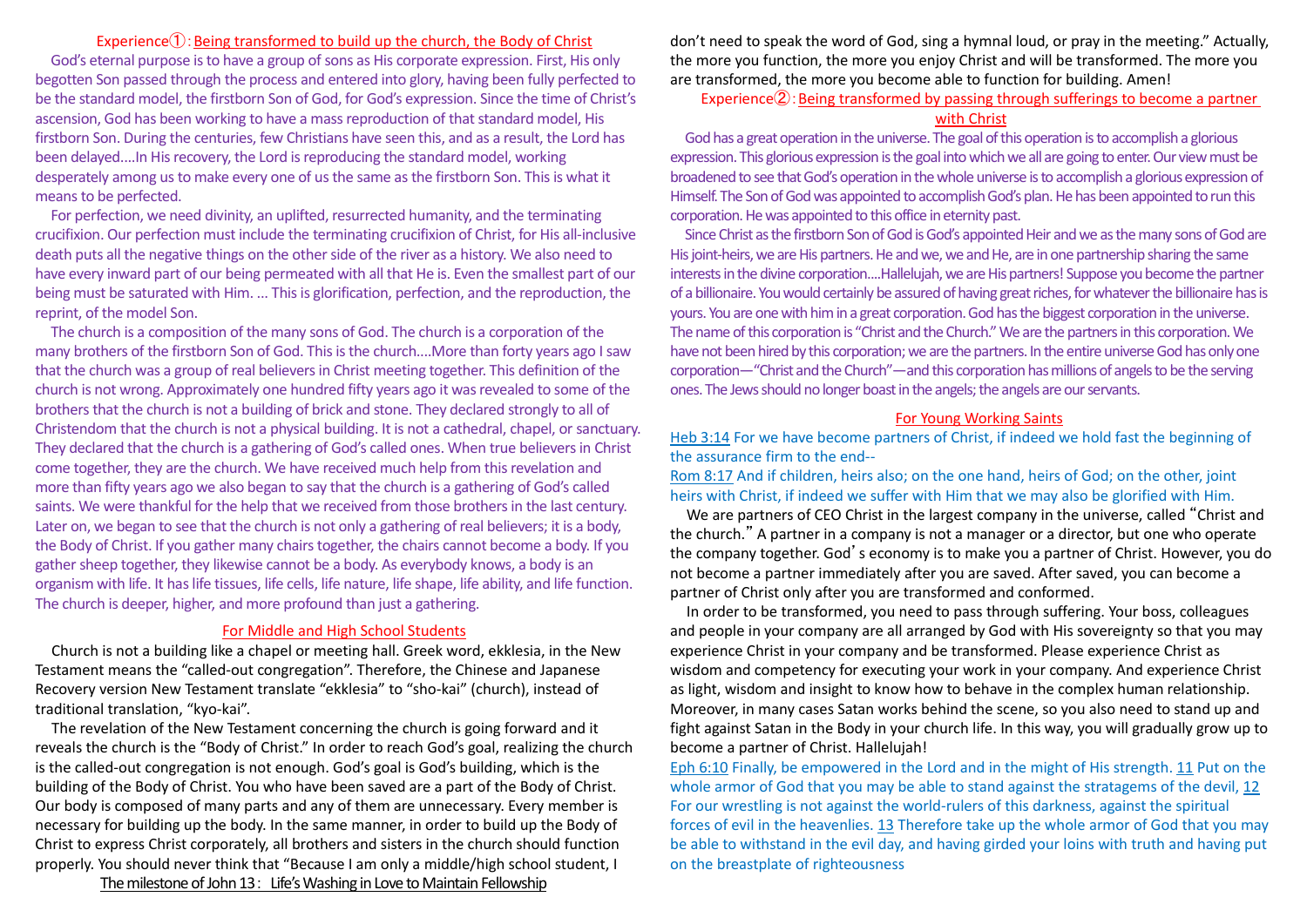### Experience $\textcircled{1}$ : Being transformed to build up the church, the Body of Christ

God's eternal purpose is to have a group of sons as His corporate expression. First, His only begotten Son passed through the process and entered into glory, having been fully perfected to be the standard model, the firstborn Son of God, for God's expression. Since the time of Christ's ascension, God has been working to have a mass reproduction of that standard model, His firstborn Son. During the centuries, few Christians have seen this, and as a result, the Lord has been delayed....In His recovery, the Lord is reproducing the standard model, working desperately among us to make every one of us the same as the firstborn Son. This is what it means to be perfected.

For perfection, we need divinity, an uplifted, resurrected humanity, and the terminating crucifixion. Our perfection must include the terminating crucifixion of Christ, for His all-inclusive death puts all the negative things on the other side of the river as a history. We also need to have every inward part of our being permeated with all that He is. Even the smallest part of our being must be saturated with Him. ... This is glorification, perfection, and the reproduction, the reprint, of the model Son.

The church is a composition of the many sons of God. The church is a corporation of the many brothers of the firstborn Son of God. This is the church....More than forty years ago I saw that the church was a group of real believers in Christ meeting together. This definition of the church is not wrong. Approximately one hundred fifty years ago it was revealed to some of the brothers that the church is not a building of brick and stone. They declared strongly to all of Christendom that the church is not a physical building. It is not a cathedral, chapel, or sanctuary. They declared that the church is a gathering of God's called ones. When true believers in Christ come together, they are the church. We have received much help from this revelation and more than fifty years ago we also began to say that the church is a gathering of God's called saints. We were thankful for the help that we received from those brothers in the last century. Later on, we began to see that the church is not only a gathering of real believers; it is a body, the Body of Christ. If you gather many chairs together, the chairs cannot become a body. If you gather sheep together, they likewise cannot be a body. As everybody knows, a body is an organism with life. It has life tissues, life cells, life nature, life shape, life ability, and life function. The church is deeper, higher, and more profound than just a gathering.

#### For Middle and High School Students

Church is not a building like a chapel or meeting hall. Greek word, ekklesia, in the New Testament means the "called-out congregation". Therefore, the Chinese and Japanese Recovery version New Testament translate "ekklesia" to "sho-kai" (church), instead of traditional translation, "kyo-kai".

The revelation of the New Testament concerning the church is going forward and it reveals the church is the "Body of Christ." In order to reach God's goal, realizing the church is the called-out congregation is not enough. God's goal is God's building, which is the building of the Body of Christ. You who have been saved are a part of the Body of Christ. Our body is composed of many parts and any of them are unnecessary. Every member is necessary for building up the body. In the same manner, in order to build up the Body of Christ to express Christ corporately, all brothers and sisters in the church should function properly. You should never think that "Because I am only a middle/high school student, I

don't need to speak the word of God, sing a hymnal loud, or pray in the meeting." Actually, the more you function, the more you enjoy Christ and will be transformed. The more you are transformed, the more you become able to function for building. Amen!

# Experience $(2)$ : Being transformed by passing through sufferings to become a partner with Christ

God has a great operation in the universe. The goal of this operation is to accomplish a glorious expression. This glorious expression is the goal into which we all are going to enter. Our view must be broadened to see that God's operation in the whole universe is to accomplish a glorious expression of Himself. The Son of God was appointed to accomplish God's plan. He has been appointed to run this corporation. He was appointed to this office in eternity past.

Since Christ as the firstborn Son of God is God's appointed Heir and we as the many sons of God are His joint-heirs, we are His partners. He and we, we and He, are in one partnership sharing the same interests in the divine corporation....Hallelujah, we are His partners! Suppose you become the partner of a billionaire. You would certainly be assured of having great riches, for whatever the billionaire has is yours. You are one with him in a great corporation. God has the biggest corporation in the universe. The name of this corporation is "Christ and the Church." We are the partners in this corporation. We have not been hired by this corporation; we are the partners. In the entire universe God has only one corporation—"Christ and the Church"—and this corporation has millions of angels to be the serving ones. The Jews should no longer boast in the angels; the angels are our servants.

### For Young Working Saints

Heb 3:14 For we have become partners of Christ, if indeed we hold fast the beginning of the assurance firm to the end--

Rom 8:17 And if children, heirs also; on the one hand, heirs of God; on the other, joint heirs with Christ, if indeed we suffer with Him that we may also be glorified with Him.

We are partners of CEO Christ in the largest company in the universe, called "Christ and the church." A partner in a company is not a manager or a director, but one who operate the company together. God's economy is to make you a partner of Christ. However, you do not become a partner immediately after you are saved. After saved, you can become a partner of Christ only after you are transformed and conformed.

In order to be transformed, you need to pass through suffering. Your boss, colleagues and people in your company are all arranged by God with His sovereignty so that you may experience Christ in your company and be transformed. Please experience Christ as wisdom and competency for executing your work in your company. And experience Christ as light, wisdom and insight to know how to behave in the complex human relationship. Moreover, in many cases Satan works behind the scene, so you also need to stand up and fight against Satan in the Body in your church life. In this way, you will gradually grow up to become a partner of Christ. Hallelujah!

Eph 6:10 Finally, be empowered in the Lord and in the might of His strength. 11 Put on the whole armor of God that you may be able to stand against the stratagems of the devil, 12 For our wrestling is not against the world-rulers of this darkness, against the spiritual forces of evil in the heavenlies. 13 Therefore take up the whole armor of God that you may be able to withstand in the evil day, and having girded your loins with truth and having put on the breastplate of righteousness

The milestone of John 13: Life's Washing in Love to Maintain Fellowship